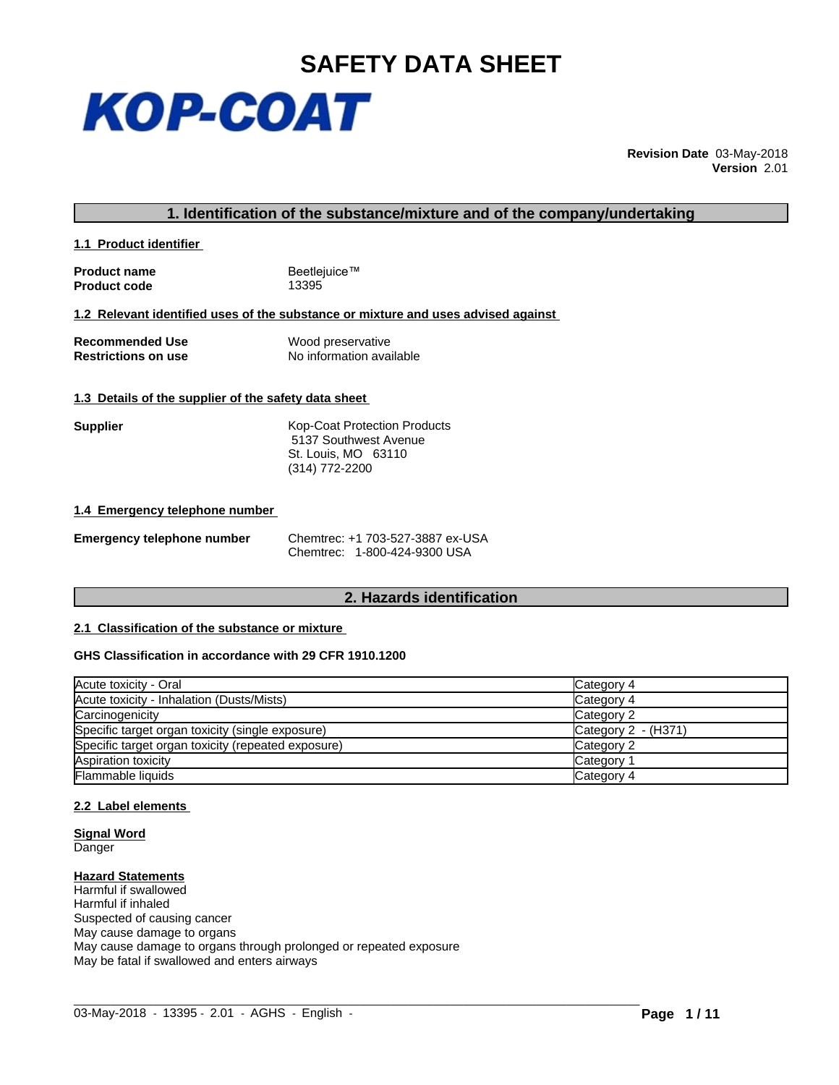

**Revision Date** 03-May-2018 **Version** 2.01

#### **1. Identification of the substance/mixture and of the company/undertaking**

**1.1 Product identifier** 

**Product name** Beetlejuice™<br> **Product code** 13395 **Product code** 

#### **1.2 Relevant identified uses of the substance or mixture and uses advised against**

**Recommended Use** Wood preservative<br> **Restrictions on use** No information avai **No information available** 

#### **1.3 Details of the supplier of the safety data sheet**

**Supplier** Kop-Coat Protection Products 5137 Southwest Avenue St. Louis, MO 63110 (314) 772-2200

#### **1.4 Emergency telephone number**

|  | <b>Emergency telephone number</b> | C |
|--|-----------------------------------|---|
|--|-----------------------------------|---|

**Emergency telephone number** Chemtrec: +1 703-527-3887 ex-USA Chemtrec: 1-800-424-9300 USA

### **2. Hazards identification**

#### **2.1 Classification of the substance or mixture**

#### **GHS Classification in accordance with 29 CFR 1910.1200**

| Acute toxicity - Oral                              | Category 4          |
|----------------------------------------------------|---------------------|
| Acute toxicity - Inhalation (Dusts/Mists)          | Category 4          |
| Carcinogenicity                                    | Category 2          |
| Specific target organ toxicity (single exposure)   | Category 2 - (H371) |
| Specific target organ toxicity (repeated exposure) | Category 2          |
| Aspiration toxicity                                | Category 1          |
| <b>Flammable liquids</b>                           | Category 4          |

 $\_$  ,  $\_$  ,  $\_$  ,  $\_$  ,  $\_$  ,  $\_$  ,  $\_$  ,  $\_$  ,  $\_$  ,  $\_$  ,  $\_$  ,  $\_$  ,  $\_$  ,  $\_$  ,  $\_$  ,  $\_$  ,  $\_$  ,  $\_$  ,  $\_$  ,  $\_$  ,  $\_$  ,  $\_$  ,  $\_$  ,  $\_$  ,  $\_$  ,  $\_$  ,  $\_$  ,  $\_$  ,  $\_$  ,  $\_$  ,  $\_$  ,  $\_$  ,  $\_$  ,  $\_$  ,  $\_$  ,  $\_$  ,  $\_$  ,

#### **2.2 Label elements**

**Signal Word Danger** 

#### **Hazard Statements**

Harmful if swallowed Harmful if inhaled Suspected of causing cancer May cause damage to organs May cause damage to organs through prolonged or repeated exposure May be fatal if swallowed and enters airways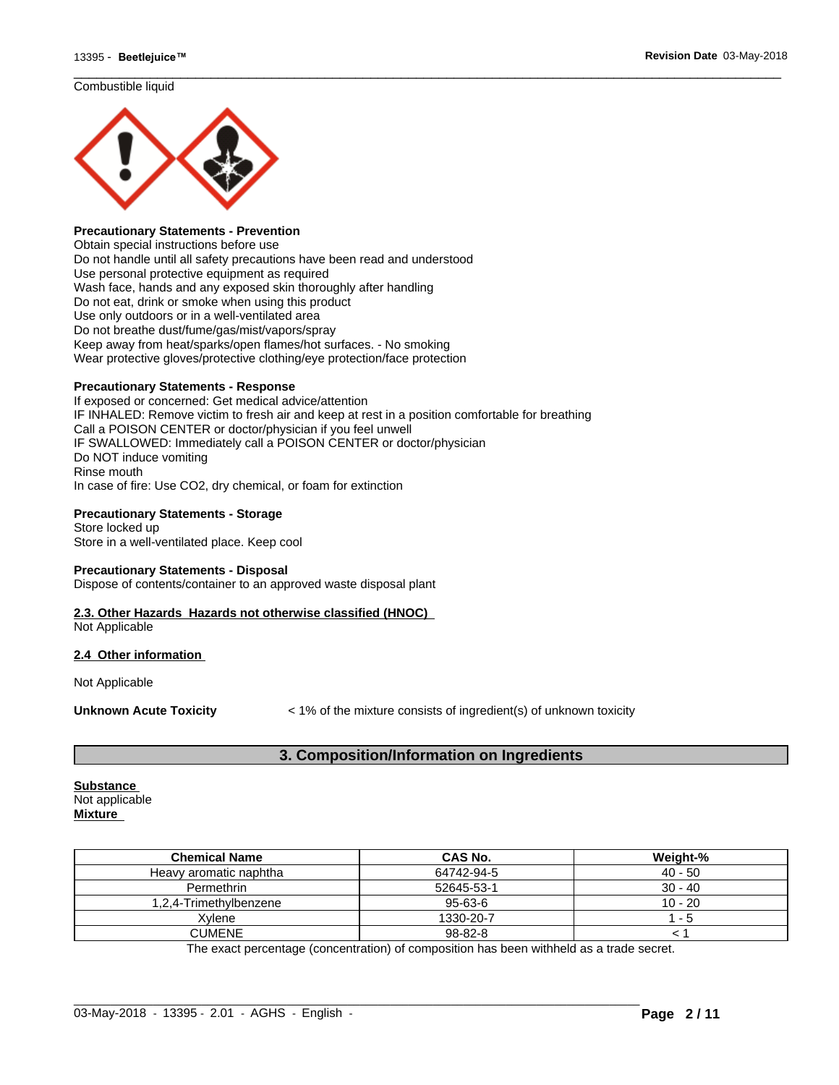#### Combustible liquid



#### **Precautionary Statements - Prevention**

Obtain special instructions before use Do not handle until all safety precautions have been read and understood Use personal protective equipment as required Wash face, hands and any exposed skin thoroughly after handling Do not eat, drink or smoke when using this product Use only outdoors or in a well-ventilated area Do not breathe dust/fume/gas/mist/vapors/spray Keep away from heat/sparks/open flames/hot surfaces. - No smoking Wear protective gloves/protective clothing/eye protection/face protection

#### **Precautionary Statements - Response**

If exposed or concerned: Get medical advice/attention IF INHALED: Remove victim to fresh air and keep at rest in a position comfortable for breathing Call a POISON CENTER or doctor/physician if you feel unwell IF SWALLOWED: Immediately call a POISON CENTER or doctor/physician Do NOT induce vomiting Rinse mouth In case of fire: Use CO2, dry chemical, or foam for extinction

#### **Precautionary Statements - Storage**

Store locked up Store in a well-ventilated place. Keep cool

#### **Precautionary Statements - Disposal**

Dispose of contents/container to an approved waste disposal plant

# **2.3. Other Hazards Hazards not otherwise classified (HNOC)**

Not Applicable

#### **2.4 Other information**

Not Applicable

**Unknown Acute Toxicity**  $\lt$  1% of the mixture consists of ingredient(s) of unknown toxicity

 $\overline{\phantom{a}}$  ,  $\overline{\phantom{a}}$  ,  $\overline{\phantom{a}}$  ,  $\overline{\phantom{a}}$  ,  $\overline{\phantom{a}}$  ,  $\overline{\phantom{a}}$  ,  $\overline{\phantom{a}}$  ,  $\overline{\phantom{a}}$  ,  $\overline{\phantom{a}}$  ,  $\overline{\phantom{a}}$  ,  $\overline{\phantom{a}}$  ,  $\overline{\phantom{a}}$  ,  $\overline{\phantom{a}}$  ,  $\overline{\phantom{a}}$  ,  $\overline{\phantom{a}}$  ,  $\overline{\phantom{a}}$ 

### **3. Composition/Information on Ingredients**

# **Substance**

Not applicable **Mixture**

| <b>Chemical Name</b>   | <b>CAS No.</b> | Weight-%  |
|------------------------|----------------|-----------|
| Heavy aromatic naphtha | 64742-94-5     | $40 - 50$ |
| Permethrin             | 52645-53-1     | $30 - 40$ |
| 1.2.4-Trimethvlbenzene | 95-63-6        | $10 - 20$ |
| Xvlene                 | 1330-20-7      | - 5       |
| CUMENE                 | 98-82-8        |           |

The exact percentage (concentration) of composition has been withheld as a trade secret.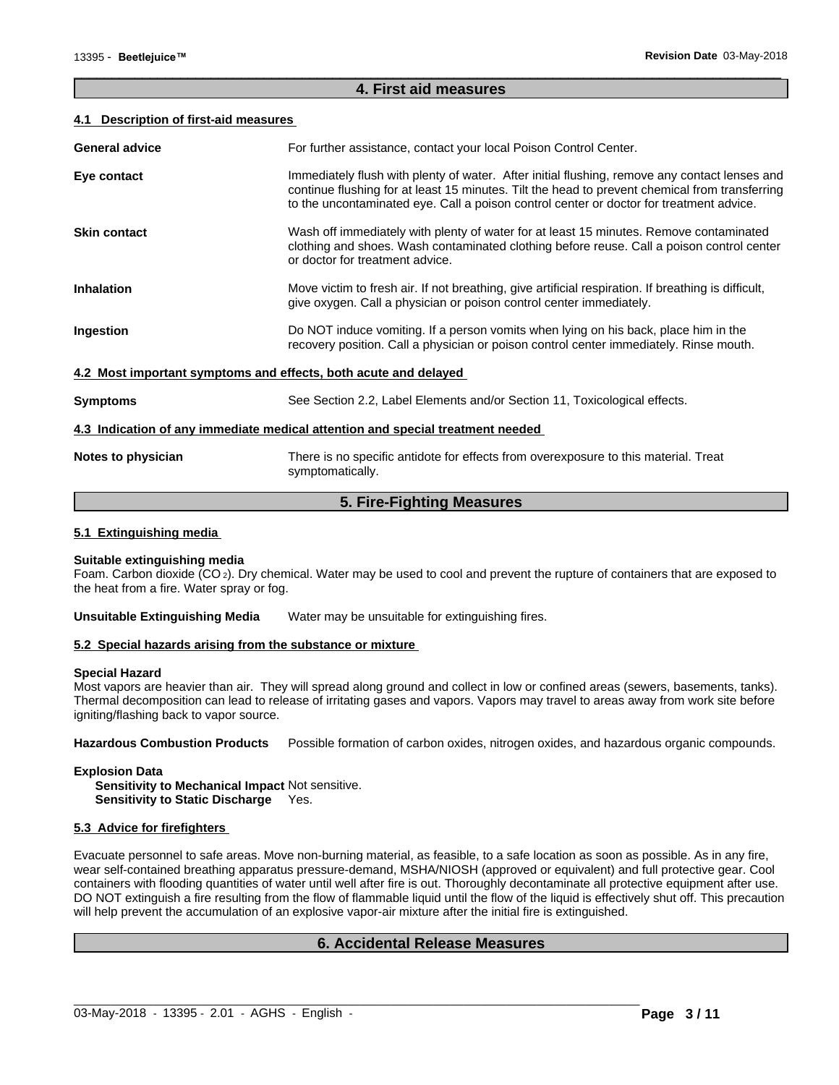#### **4. First aid measures**

 $\overline{\phantom{a}}$  ,  $\overline{\phantom{a}}$  ,  $\overline{\phantom{a}}$  ,  $\overline{\phantom{a}}$  ,  $\overline{\phantom{a}}$  ,  $\overline{\phantom{a}}$  ,  $\overline{\phantom{a}}$  ,  $\overline{\phantom{a}}$  ,  $\overline{\phantom{a}}$  ,  $\overline{\phantom{a}}$  ,  $\overline{\phantom{a}}$  ,  $\overline{\phantom{a}}$  ,  $\overline{\phantom{a}}$  ,  $\overline{\phantom{a}}$  ,  $\overline{\phantom{a}}$  ,  $\overline{\phantom{a}}$ 

#### **4.1 Description of first-aid measures**

| <b>General advice</b>                                           | For further assistance, contact your local Poison Control Center.                                                                                                                                                                                                                          |
|-----------------------------------------------------------------|--------------------------------------------------------------------------------------------------------------------------------------------------------------------------------------------------------------------------------------------------------------------------------------------|
| Eye contact                                                     | Immediately flush with plenty of water. After initial flushing, remove any contact lenses and<br>continue flushing for at least 15 minutes. Tilt the head to prevent chemical from transferring<br>to the uncontaminated eye. Call a poison control center or doctor for treatment advice. |
| <b>Skin contact</b>                                             | Wash off immediately with plenty of water for at least 15 minutes. Remove contaminated<br>clothing and shoes. Wash contaminated clothing before reuse. Call a poison control center<br>or doctor for treatment advice.                                                                     |
| <b>Inhalation</b>                                               | Move victim to fresh air. If not breathing, give artificial respiration. If breathing is difficult,<br>give oxygen. Call a physician or poison control center immediately.                                                                                                                 |
| Ingestion                                                       | Do NOT induce vomiting. If a person vomits when lying on his back, place him in the<br>recovery position. Call a physician or poison control center immediately. Rinse mouth.                                                                                                              |
| 4.2 Most important symptoms and effects, both acute and delayed |                                                                                                                                                                                                                                                                                            |
| <b>Symptoms</b>                                                 | See Section 2.2, Label Elements and/or Section 11, Toxicological effects.                                                                                                                                                                                                                  |
|                                                                 | 4.3 Indication of any immediate medical attention and special treatment needed                                                                                                                                                                                                             |
| Notes to physician                                              | There is no specific antidote for effects from overexposure to this material. Treat<br>symptomatically.                                                                                                                                                                                    |
|                                                                 | .<br>$\blacksquare$                                                                                                                                                                                                                                                                        |

### **5. Fire-Fighting Measures**

#### **5.1 Extinguishing media**

#### **Suitable extinguishing media**

Foam. Carbon dioxide ( $CO<sub>2</sub>$ ). Dry chemical. Water may be used to cool and prevent the rupture of containers that are exposed to the heat from a fire. Water spray or fog.

**Unsuitable Extinguishing Media** Water may be unsuitable for extinguishing fires.

#### **5.2 Special hazards arising from the substance or mixture**

#### **Special Hazard**

Most vapors are heavier than air. They will spread along ground and collect in low or confined areas (sewers, basements, tanks). Thermal decomposition can lead to release of irritating gases and vapors. Vapors may travel to areas away from work site before igniting/flashing back to vapor source.

**Hazardous Combustion Products** Possible formation of carbon oxides, nitrogen oxides, and hazardous organic compounds.

#### **Explosion Data**

**Sensitivity to Mechanical Impact** Not sensitive. **Sensitivity to Static Discharge** Yes.

#### **5.3 Advice for firefighters**

Evacuate personnel to safe areas. Move non-burning material, as feasible, to a safe location as soon as possible. As in any fire, wear self-contained breathing apparatus pressure-demand, MSHA/NIOSH (approved or equivalent) and full protective gear. Cool containers with flooding quantities of water until well after fire is out. Thoroughly decontaminate all protective equipment after use. DO NOT extinguish a fire resulting from the flow of flammable liquid until the flow of the liquid is effectively shut off. This precaution will help prevent the accumulation of an explosive vapor-air mixture after the initial fire is extinguished.

### **6. Accidental Release Measures**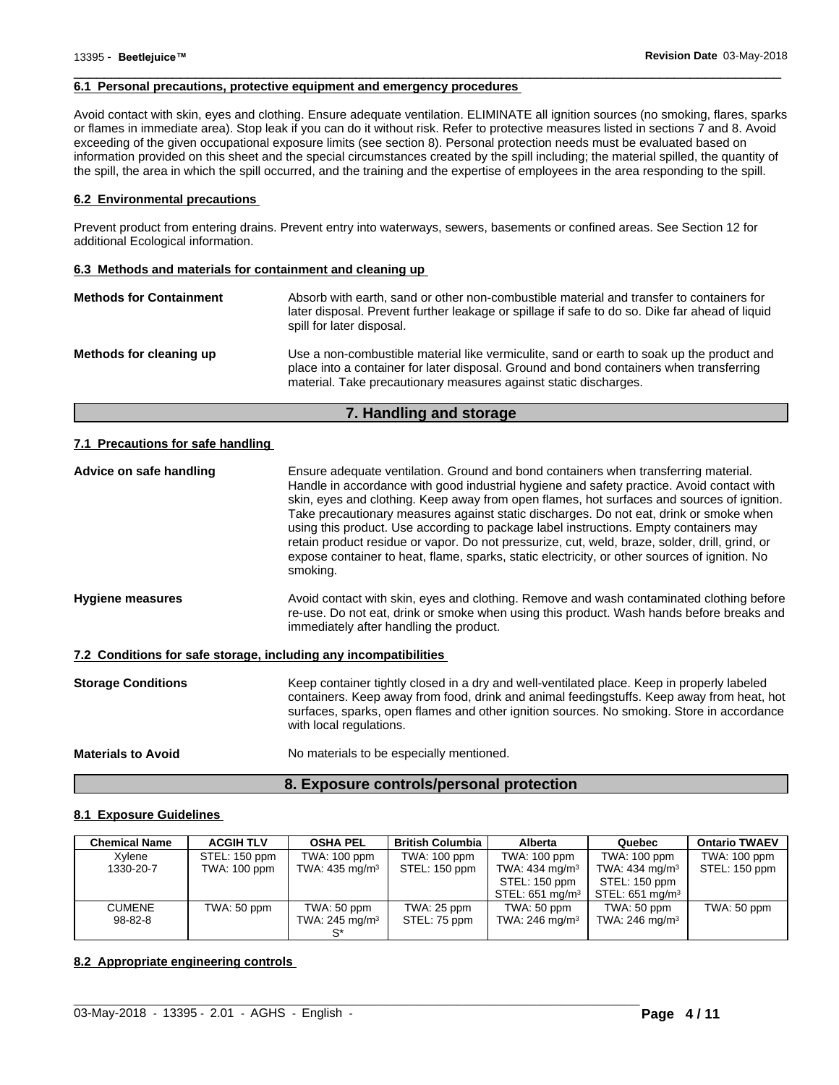#### **6.1 Personal precautions, protective equipment and emergency procedures**

Avoid contact with skin, eyes and clothing. Ensure adequate ventilation. ELIMINATE all ignition sources (no smoking, flares, sparks or flames in immediate area). Stop leak if you can do it without risk. Refer to protective measures listed in sections 7 and 8. Avoid exceeding of the given occupational exposure limits (see section 8). Personal protection needs must be evaluated based on information provided on this sheet and the special circumstances created by the spill including; the material spilled, the quantity of the spill, the area in which the spill occurred, and the training and the expertise of employees in the area responding to the spill.

 $\overline{\phantom{a}}$  ,  $\overline{\phantom{a}}$  ,  $\overline{\phantom{a}}$  ,  $\overline{\phantom{a}}$  ,  $\overline{\phantom{a}}$  ,  $\overline{\phantom{a}}$  ,  $\overline{\phantom{a}}$  ,  $\overline{\phantom{a}}$  ,  $\overline{\phantom{a}}$  ,  $\overline{\phantom{a}}$  ,  $\overline{\phantom{a}}$  ,  $\overline{\phantom{a}}$  ,  $\overline{\phantom{a}}$  ,  $\overline{\phantom{a}}$  ,  $\overline{\phantom{a}}$  ,  $\overline{\phantom{a}}$ 

#### **6.2 Environmental precautions**

Prevent product from entering drains. Prevent entry into waterways, sewers, basements or confined areas. See Section 12 for additional Ecological information.

#### **6.3 Methods and materials for containment and cleaning up**

| <b>Methods for Containment</b> | Absorb with earth, sand or other non-combustible material and transfer to containers for<br>later disposal. Prevent further leakage or spillage if safe to do so. Dike far ahead of liquid<br>spill for later disposal.                                  |
|--------------------------------|----------------------------------------------------------------------------------------------------------------------------------------------------------------------------------------------------------------------------------------------------------|
| Methods for cleaning up        | Use a non-combustible material like vermiculite, sand or earth to soak up the product and<br>place into a container for later disposal. Ground and bond containers when transferring<br>material. Take precautionary measures against static discharges. |

#### **7. Handling and storage**

#### **7.1 Precautions for safe handling**

| Advice on safe handling                                          | Ensure adequate ventilation. Ground and bond containers when transferring material.<br>Handle in accordance with good industrial hygiene and safety practice. Avoid contact with<br>skin, eyes and clothing. Keep away from open flames, hot surfaces and sources of ignition.<br>Take precautionary measures against static discharges. Do not eat, drink or smoke when<br>using this product. Use according to package label instructions. Empty containers may<br>retain product residue or vapor. Do not pressurize, cut, weld, braze, solder, drill, grind, or<br>expose container to heat, flame, sparks, static electricity, or other sources of ignition. No<br>smoking. |
|------------------------------------------------------------------|----------------------------------------------------------------------------------------------------------------------------------------------------------------------------------------------------------------------------------------------------------------------------------------------------------------------------------------------------------------------------------------------------------------------------------------------------------------------------------------------------------------------------------------------------------------------------------------------------------------------------------------------------------------------------------|
| <b>Hygiene measures</b>                                          | Avoid contact with skin, eyes and clothing. Remove and wash contaminated clothing before<br>re-use. Do not eat, drink or smoke when using this product. Wash hands before breaks and<br>immediately after handling the product.                                                                                                                                                                                                                                                                                                                                                                                                                                                  |
| 7.2 Conditions for safe storage, including any incompatibilities |                                                                                                                                                                                                                                                                                                                                                                                                                                                                                                                                                                                                                                                                                  |
| <b>Storage Conditions</b>                                        | Keep container tightly closed in a dry and well-ventilated place. Keep in properly labeled<br>containers. Keep away from food, drink and animal feedingstuffs. Keep away from heat, hot<br>surfaces, sparks, open flames and other ignition sources. No smoking. Store in accordance<br>with local regulations.                                                                                                                                                                                                                                                                                                                                                                  |
| <b>Materials to Avoid</b>                                        | No materials to be especially mentioned.                                                                                                                                                                                                                                                                                                                                                                                                                                                                                                                                                                                                                                         |

#### **8.1 Exposure Guidelines**

| <b>Chemical Name</b> | <b>ACGIH TLV</b> | <b>OSHA PEL</b>            | <b>British Columbia</b> | Alberta                    | Quebec                      | <b>Ontario TWAEV</b> |
|----------------------|------------------|----------------------------|-------------------------|----------------------------|-----------------------------|----------------------|
| Xylene               | STEL: 150 ppm    | TWA: 100 ppm               | TWA: 100 ppm            | TWA: 100 ppm               | TWA: 100 ppm                | TWA: 100 ppm         |
| 1330-20-7            | TWA: 100 ppm     | TWA: 435 mg/m <sup>3</sup> | STEL: 150 ppm           | TWA: 434 mg/m <sup>3</sup> | TWA: 434 mg/m <sup>3</sup>  | STEL: 150 ppm        |
|                      |                  |                            |                         | STEL: 150 ppm              | STEL: 150 ppm               |                      |
|                      |                  |                            |                         | STEL: 651 mg/m $3 \mid$    | STEL: 651 mg/m <sup>3</sup> |                      |
| <b>CUMENE</b>        | TWA: 50 ppm      | TWA: 50 ppm                | TWA: 25 ppm             | TWA: 50 ppm                | TWA: 50 ppm                 | TWA: 50 ppm          |
| 98-82-8              |                  | TWA: 245 mg/m <sup>3</sup> | STEL: 75 ppm            | TWA: 246 mg/m <sup>3</sup> | TWA: 246 mg/m <sup>3</sup>  |                      |
|                      |                  |                            |                         |                            |                             |                      |

**8. Exposure controls/personal protection**

#### **8.2 Appropriate engineering controls**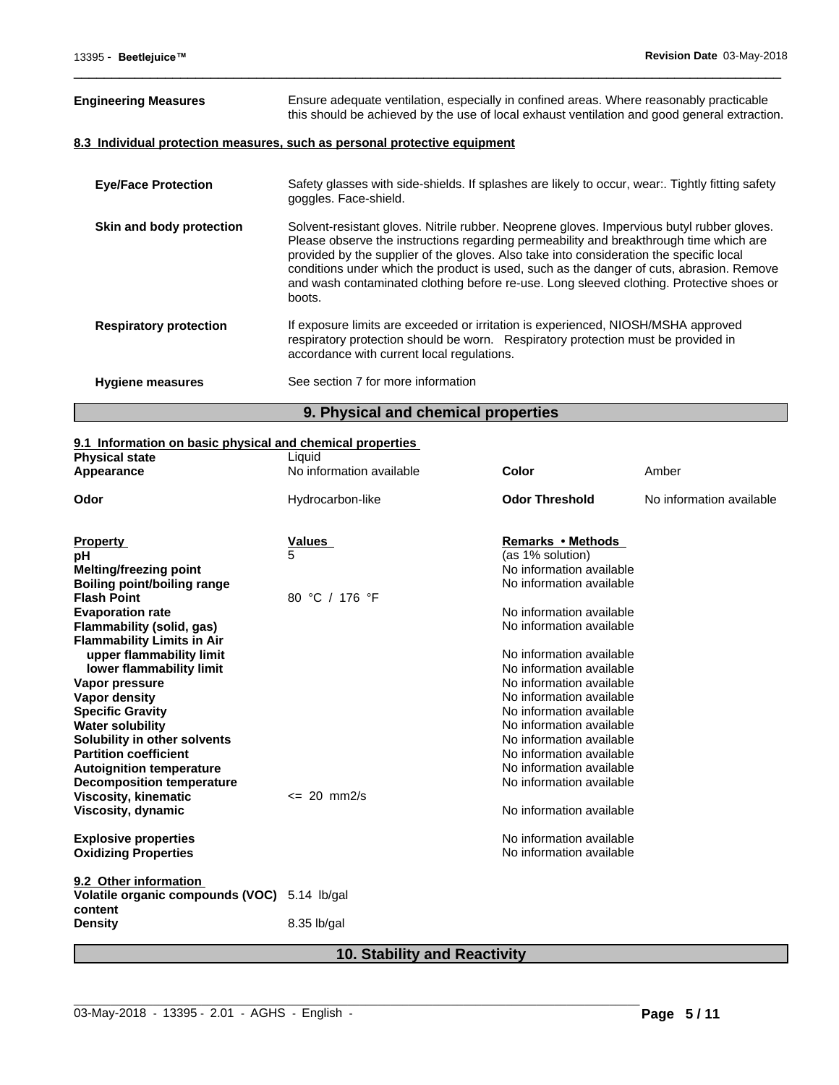| <b>Engineering Measures</b>   | Ensure adequate ventilation, especially in confined areas. Where reasonably practicable<br>this should be achieved by the use of local exhaust ventilation and good general extraction.                                                                                                                                                                                                                                                                                           |
|-------------------------------|-----------------------------------------------------------------------------------------------------------------------------------------------------------------------------------------------------------------------------------------------------------------------------------------------------------------------------------------------------------------------------------------------------------------------------------------------------------------------------------|
|                               | 8.3 Individual protection measures, such as personal protective equipment                                                                                                                                                                                                                                                                                                                                                                                                         |
| <b>Eye/Face Protection</b>    | Safety glasses with side-shields. If splashes are likely to occur, wear Tightly fitting safety<br>goggles. Face-shield.                                                                                                                                                                                                                                                                                                                                                           |
| Skin and body protection      | Solvent-resistant gloves. Nitrile rubber. Neoprene gloves. Impervious butyl rubber gloves.<br>Please observe the instructions regarding permeability and breakthrough time which are<br>provided by the supplier of the gloves. Also take into consideration the specific local<br>conditions under which the product is used, such as the danger of cuts, abrasion. Remove<br>and wash contaminated clothing before re-use. Long sleeved clothing. Protective shoes or<br>boots. |
| <b>Respiratory protection</b> | If exposure limits are exceeded or irritation is experienced, NIOSH/MSHA approved<br>respiratory protection should be worn. Respiratory protection must be provided in<br>accordance with current local regulations.                                                                                                                                                                                                                                                              |
| <b>Hygiene measures</b>       | See section 7 for more information                                                                                                                                                                                                                                                                                                                                                                                                                                                |

 $\overline{\phantom{a}}$  ,  $\overline{\phantom{a}}$  ,  $\overline{\phantom{a}}$  ,  $\overline{\phantom{a}}$  ,  $\overline{\phantom{a}}$  ,  $\overline{\phantom{a}}$  ,  $\overline{\phantom{a}}$  ,  $\overline{\phantom{a}}$  ,  $\overline{\phantom{a}}$  ,  $\overline{\phantom{a}}$  ,  $\overline{\phantom{a}}$  ,  $\overline{\phantom{a}}$  ,  $\overline{\phantom{a}}$  ,  $\overline{\phantom{a}}$  ,  $\overline{\phantom{a}}$  ,  $\overline{\phantom{a}}$ 

# **9. Physical and chemical properties**

#### **9.1 Information on basic physical and chemical properties**

| <u>en miennanen en saoie prijoiear and enemiear proportioo</u><br><b>Physical state</b> | Liquid                   |                          |                          |
|-----------------------------------------------------------------------------------------|--------------------------|--------------------------|--------------------------|
| Appearance                                                                              | No information available | Color                    | Amber                    |
|                                                                                         |                          |                          |                          |
| Odor                                                                                    | Hydrocarbon-like         | <b>Odor Threshold</b>    | No information available |
|                                                                                         |                          |                          |                          |
| <b>Property</b>                                                                         | Values                   | Remarks • Methods        |                          |
| рH                                                                                      | 5                        | (as 1% solution)         |                          |
| <b>Melting/freezing point</b>                                                           |                          | No information available |                          |
| <b>Boiling point/boiling range</b>                                                      |                          | No information available |                          |
| <b>Flash Point</b>                                                                      | 80 °C / 176 °F           |                          |                          |
| <b>Evaporation rate</b>                                                                 |                          | No information available |                          |
| Flammability (solid, gas)                                                               |                          | No information available |                          |
| <b>Flammability Limits in Air</b>                                                       |                          |                          |                          |
| upper flammability limit                                                                |                          | No information available |                          |
| lower flammability limit                                                                |                          | No information available |                          |
| Vapor pressure                                                                          |                          | No information available |                          |
| Vapor density                                                                           |                          | No information available |                          |
| <b>Specific Gravity</b>                                                                 |                          | No information available |                          |
| <b>Water solubility</b>                                                                 |                          | No information available |                          |
| Solubility in other solvents                                                            |                          | No information available |                          |
| <b>Partition coefficient</b>                                                            |                          | No information available |                          |
| <b>Autoignition temperature</b>                                                         |                          | No information available |                          |
| <b>Decomposition temperature</b>                                                        |                          | No information available |                          |
| <b>Viscosity, kinematic</b>                                                             | $\leq$ 20 mm2/s          |                          |                          |
| Viscosity, dynamic                                                                      |                          | No information available |                          |
|                                                                                         |                          |                          |                          |
| <b>Explosive properties</b>                                                             |                          | No information available |                          |
| <b>Oxidizing Properties</b>                                                             |                          | No information available |                          |
| 9.2 Other information                                                                   |                          |                          |                          |
| Volatile organic compounds (VOC) 5.14 lb/gal                                            |                          |                          |                          |
| content                                                                                 |                          |                          |                          |
| <b>Density</b>                                                                          | 8.35 lb/gal              |                          |                          |
|                                                                                         |                          |                          |                          |
|                                                                                         |                          |                          |                          |

# **10. Stability and Reactivity**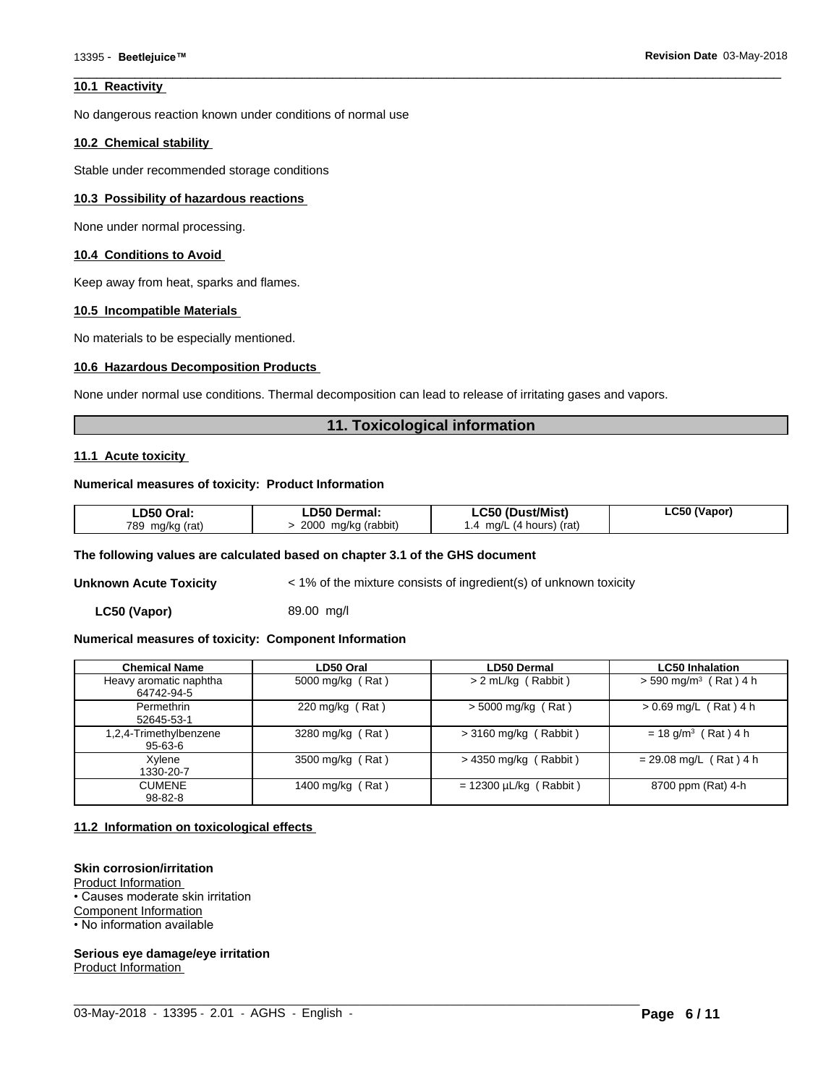#### **10.1 Reactivity**

No dangerous reaction known under conditions of normal use

#### **10.2 Chemical stability**

Stable under recommended storage conditions

#### **10.3 Possibility of hazardous reactions**

None under normal processing.

#### **10.4 Conditions to Avoid**

Keep away from heat, sparks and flames.

#### **10.5 Incompatible Materials**

No materials to be especially mentioned.

#### **10.6 Hazardous Decomposition Products**

None under normal use conditions. Thermal decomposition can lead to release of irritating gases and vapors.

#### **11. Toxicological information**

 $\overline{\phantom{a}}$  ,  $\overline{\phantom{a}}$  ,  $\overline{\phantom{a}}$  ,  $\overline{\phantom{a}}$  ,  $\overline{\phantom{a}}$  ,  $\overline{\phantom{a}}$  ,  $\overline{\phantom{a}}$  ,  $\overline{\phantom{a}}$  ,  $\overline{\phantom{a}}$  ,  $\overline{\phantom{a}}$  ,  $\overline{\phantom{a}}$  ,  $\overline{\phantom{a}}$  ,  $\overline{\phantom{a}}$  ,  $\overline{\phantom{a}}$  ,  $\overline{\phantom{a}}$  ,  $\overline{\phantom{a}}$ 

#### **11.1 Acute toxicity**

#### **Numerical measures of toxicity: Product Information**

| LD50 Oral:      | <b>LD50 Dermal:</b> | LC50 (Dust/Mist)             | LC50 (Vapor) |
|-----------------|---------------------|------------------------------|--------------|
| 789 mg/kg (rat) | 2000 mg/kg (rabbit) | $.4 \,$ mg/L (4 hours) (rat) |              |

#### **The following values are calculated based on chapter 3.1 of the GHS document**

**Unknown Acute Toxicity**  $\leq 1\%$  of the mixture consists of ingredient(s) of unknown toxicity

**LC50 (Vapor)** 89.00 mg/l

#### **Numerical measures of toxicity: Component Information**

| <b>Chemical Name</b>                 | LD50 Oral         | <b>LD50 Dermal</b>          | <b>LC50 Inhalation</b>              |
|--------------------------------------|-------------------|-----------------------------|-------------------------------------|
| Heavy aromatic naphtha<br>64742-94-5 | 5000 mg/kg (Rat)  | > 2 mL/kg (Rabbit)          | $>$ 590 mg/m <sup>3</sup> (Rat) 4 h |
| Permethrin<br>52645-53-1             | 220 mg/kg $(Rat)$ | $>$ 5000 mg/kg (Rat)        | $> 0.69$ mg/L (Rat) 4 h             |
| 1,2,4-Trimethylbenzene<br>95-63-6    | 3280 mg/kg (Rat)  | $>$ 3160 mg/kg (Rabbit)     | $= 18$ g/m <sup>3</sup> (Rat) 4 h   |
| Xylene<br>1330-20-7                  | 3500 mg/kg (Rat)  | $>$ 4350 mg/kg (Rabbit)     | $= 29.08$ mg/L (Rat) 4 h            |
| CUMENE.<br>98-82-8                   | 1400 mg/kg (Rat)  | $= 12300 \mu L/kg$ (Rabbit) | 8700 ppm (Rat) 4-h                  |

 $\_$  ,  $\_$  ,  $\_$  ,  $\_$  ,  $\_$  ,  $\_$  ,  $\_$  ,  $\_$  ,  $\_$  ,  $\_$  ,  $\_$  ,  $\_$  ,  $\_$  ,  $\_$  ,  $\_$  ,  $\_$  ,  $\_$  ,  $\_$  ,  $\_$  ,  $\_$  ,  $\_$  ,  $\_$  ,  $\_$  ,  $\_$  ,  $\_$  ,  $\_$  ,  $\_$  ,  $\_$  ,  $\_$  ,  $\_$  ,  $\_$  ,  $\_$  ,  $\_$  ,  $\_$  ,  $\_$  ,  $\_$  ,  $\_$  ,

#### **11.2 Information on toxicologicaleffects**

#### **Skin corrosion/irritation**

Product Information • Causes moderate skin irritation Component Information • No information available

**Serious eye damage/eye irritation** Product Information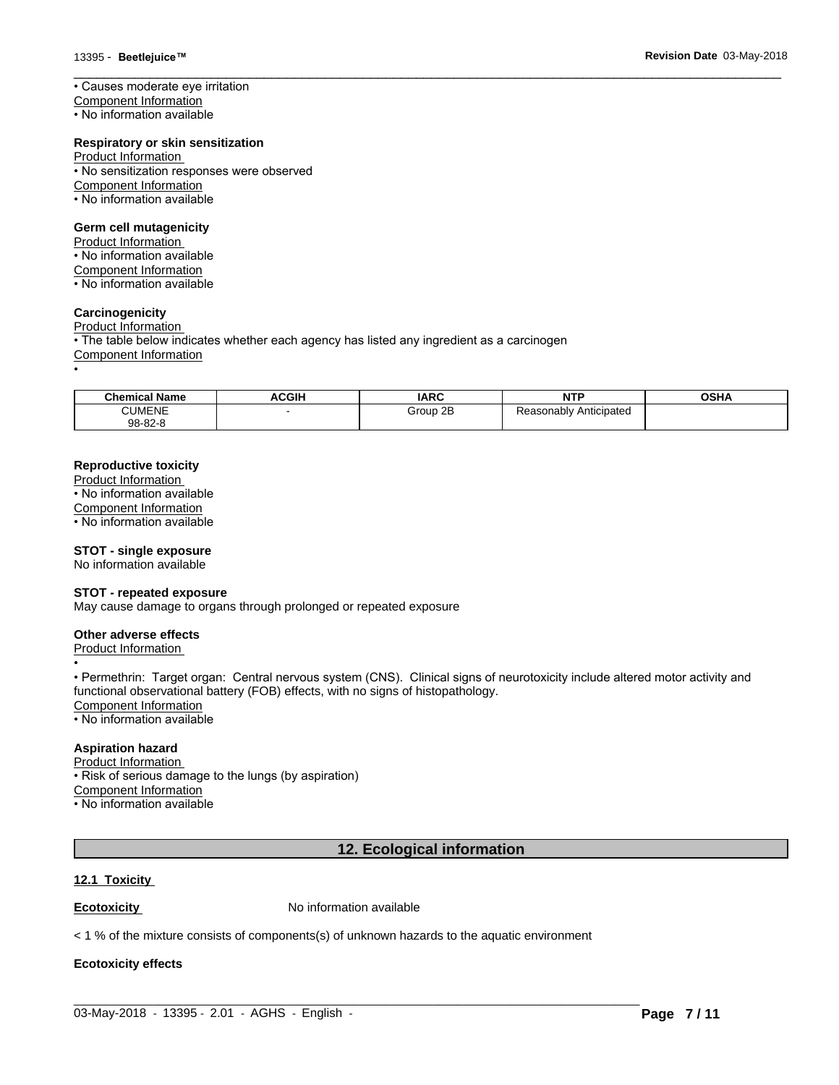• Causes moderate eye irritation

Component Information

• No information available

#### **Respiratory or skin sensitization**

Product Information

- No sensitization responses were observed Component Information
- No information available

#### **Germ cell mutagenicity**

Product Information

- No information available
- Component Information
- No information available

#### **Carcinogenicity**

Product Information • The table below indicates whether each agency has listed any ingredient as a carcinogen Component Information •

| <b>Chemical Name</b> | <b>ACGIH</b> | <b>IARC</b>        | <b>NTP</b>             | <b>OSHA</b> |
|----------------------|--------------|--------------------|------------------------|-------------|
| <b>CUMENE</b>        |              | $\cap$<br>Group 2B | Reasonably Anticipated |             |
| 98-82-8              |              |                    |                        |             |

 $\overline{\phantom{a}}$  ,  $\overline{\phantom{a}}$  ,  $\overline{\phantom{a}}$  ,  $\overline{\phantom{a}}$  ,  $\overline{\phantom{a}}$  ,  $\overline{\phantom{a}}$  ,  $\overline{\phantom{a}}$  ,  $\overline{\phantom{a}}$  ,  $\overline{\phantom{a}}$  ,  $\overline{\phantom{a}}$  ,  $\overline{\phantom{a}}$  ,  $\overline{\phantom{a}}$  ,  $\overline{\phantom{a}}$  ,  $\overline{\phantom{a}}$  ,  $\overline{\phantom{a}}$  ,  $\overline{\phantom{a}}$ 

#### **Reproductive toxicity**

Product Information • No information available Component Information • No information available

#### **STOT - single exposure**

No information available

#### **STOT - repeated exposure**

May cause damage to organs through prolonged or repeated exposure

#### **Other adverse effects**

Product Information

• Permethrin: Target organ: Central nervous system (CNS). Clinical signs of neurotoxicity include altered motor activity and functional observational battery (FOB) effects, with no signs of histopathology.

Component Information

• No information available

#### **Aspiration hazard**

Product Information

• Risk of serious damage to the lungs (by aspiration)

•

Component Information

• No information available

# **12. Ecological information**

 $\_$  ,  $\_$  ,  $\_$  ,  $\_$  ,  $\_$  ,  $\_$  ,  $\_$  ,  $\_$  ,  $\_$  ,  $\_$  ,  $\_$  ,  $\_$  ,  $\_$  ,  $\_$  ,  $\_$  ,  $\_$  ,  $\_$  ,  $\_$  ,  $\_$  ,  $\_$  ,  $\_$  ,  $\_$  ,  $\_$  ,  $\_$  ,  $\_$  ,  $\_$  ,  $\_$  ,  $\_$  ,  $\_$  ,  $\_$  ,  $\_$  ,  $\_$  ,  $\_$  ,  $\_$  ,  $\_$  ,  $\_$  ,  $\_$  ,

#### **12.1 Toxicity**

**Ecotoxicity No information available** 

 $<$  1 % of the mixture consists of components(s) of unknown hazards to the aquatic environment

#### **Ecotoxicity effects**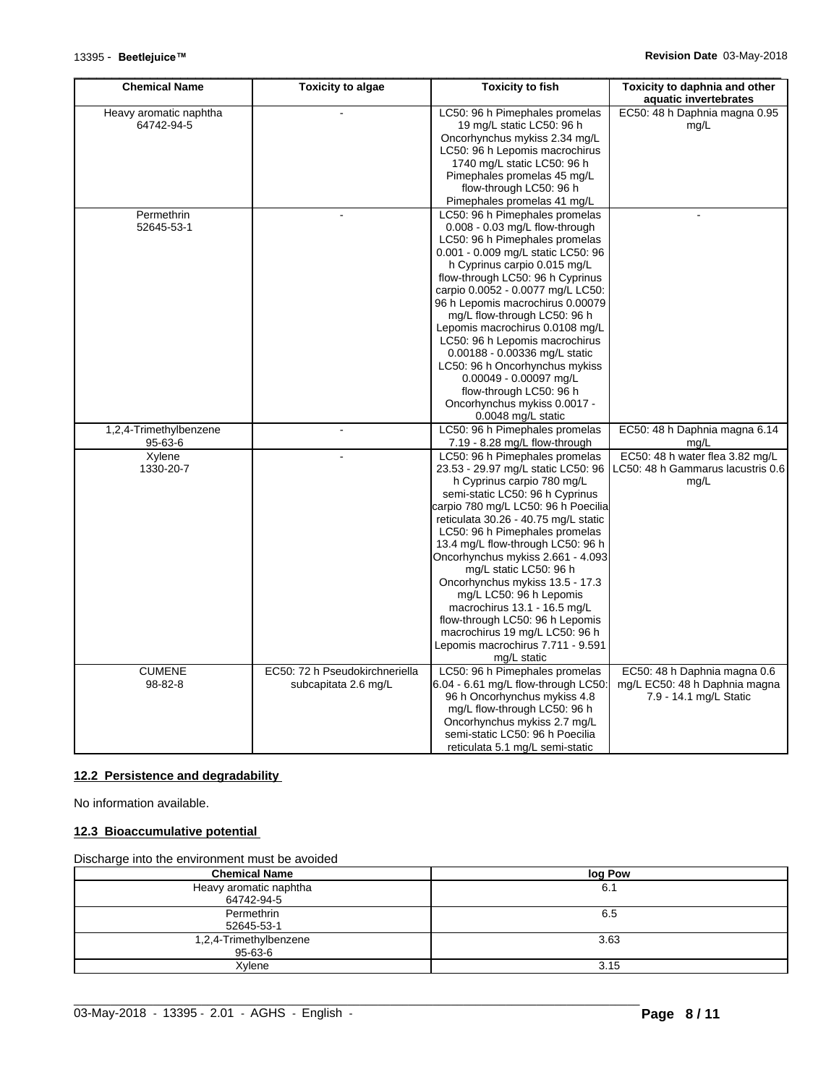| <b>Chemical Name</b>     | <b>Toxicity to algae</b>       | <b>Toxicity to fish</b>                                         | Toxicity to daphnia and other<br>aquatic invertebrates |
|--------------------------|--------------------------------|-----------------------------------------------------------------|--------------------------------------------------------|
| Heavy aromatic naphtha   |                                | LC50: 96 h Pimephales promelas                                  | EC50: 48 h Daphnia magna 0.95                          |
| 64742-94-5               |                                | 19 mg/L static LC50: 96 h                                       | mq/L                                                   |
|                          |                                | Oncorhynchus mykiss 2.34 mg/L                                   |                                                        |
|                          |                                | LC50: 96 h Lepomis macrochirus                                  |                                                        |
|                          |                                | 1740 mg/L static LC50: 96 h                                     |                                                        |
|                          |                                | Pimephales promelas 45 mg/L                                     |                                                        |
|                          |                                | flow-through LC50: 96 h                                         |                                                        |
|                          |                                | Pimephales promelas 41 mg/L                                     |                                                        |
| Permethrin               |                                | LC50: 96 h Pimephales promelas                                  |                                                        |
| 52645-53-1               |                                | 0.008 - 0.03 mg/L flow-through                                  |                                                        |
|                          |                                | LC50: 96 h Pimephales promelas                                  |                                                        |
|                          |                                | 0.001 - 0.009 mg/L static LC50: 96                              |                                                        |
|                          |                                | h Cyprinus carpio 0.015 mg/L                                    |                                                        |
|                          |                                | flow-through LC50: 96 h Cyprinus                                |                                                        |
|                          |                                | carpio 0.0052 - 0.0077 mg/L LC50:                               |                                                        |
|                          |                                | 96 h Lepomis macrochirus 0.00079                                |                                                        |
|                          |                                | mg/L flow-through LC50: 96 h                                    |                                                        |
|                          |                                | Lepomis macrochirus 0.0108 mg/L                                 |                                                        |
|                          |                                | LC50: 96 h Lepomis macrochirus                                  |                                                        |
|                          |                                | 0.00188 - 0.00336 mg/L static                                   |                                                        |
|                          |                                | LC50: 96 h Oncorhynchus mykiss                                  |                                                        |
|                          |                                | 0.00049 - 0.00097 mg/L                                          |                                                        |
|                          |                                | flow-through LC50: 96 h                                         |                                                        |
|                          |                                | Oncorhynchus mykiss 0.0017 -                                    |                                                        |
|                          |                                | 0.0048 mg/L static<br>LC50: 96 h Pimephales promelas            | EC50: 48 h Daphnia magna 6.14                          |
| 1,2,4-Trimethylbenzene   |                                |                                                                 |                                                        |
| 95-63-6<br><b>Xylene</b> |                                | 7.19 - 8.28 mg/L flow-through<br>LC50: 96 h Pimephales promelas | mg/L<br>EC50: 48 h water flea 3.82 mg/L                |
| 1330-20-7                |                                | 23.53 - 29.97 mg/L static LC50: 96                              | LC50: 48 h Gammarus lacustris 0.6                      |
|                          |                                | h Cyprinus carpio 780 mg/L                                      |                                                        |
|                          |                                | semi-static LC50: 96 h Cyprinus                                 | mg/L                                                   |
|                          |                                | carpio 780 mg/L LC50: 96 h Poecilia                             |                                                        |
|                          |                                | reticulata 30.26 - 40.75 mg/L static                            |                                                        |
|                          |                                | LC50: 96 h Pimephales promelas                                  |                                                        |
|                          |                                | 13.4 mg/L flow-through LC50: 96 h                               |                                                        |
|                          |                                | Oncorhynchus mykiss 2.661 - 4.093                               |                                                        |
|                          |                                | mg/L static LC50: 96 h                                          |                                                        |
|                          |                                | Oncorhynchus mykiss 13.5 - 17.3                                 |                                                        |
|                          |                                | mg/L LC50: 96 h Lepomis                                         |                                                        |
|                          |                                | macrochirus 13.1 - 16.5 mg/L                                    |                                                        |
|                          |                                | flow-through LC50: 96 h Lepomis                                 |                                                        |
|                          |                                | macrochirus 19 mg/L LC50: 96 h                                  |                                                        |
|                          |                                | Lepomis macrochirus 7.711 - 9.591                               |                                                        |
|                          |                                | mg/L static                                                     |                                                        |
| <b>CUMENE</b>            | EC50: 72 h Pseudokirchneriella | LC50: 96 h Pimephales promelas                                  | EC50: 48 h Daphnia magna 0.6                           |
| 98-82-8                  | subcapitata 2.6 mg/L           | 6.04 - 6.61 mg/L flow-through LC50:                             | mg/L EC50: 48 h Daphnia magna                          |
|                          |                                | 96 h Oncorhynchus mykiss 4.8                                    | 7.9 - 14.1 mg/L Static                                 |
|                          |                                | mg/L flow-through LC50: 96 h                                    |                                                        |
|                          |                                | Oncorhynchus mykiss 2.7 mg/L                                    |                                                        |
|                          |                                | semi-static LC50: 96 h Poecilia                                 |                                                        |
|                          |                                | reticulata 5.1 mg/L semi-static                                 |                                                        |

### **12.2 Persistence and degradability**

No information available.

#### **12.3 Bioaccumulative potential**

#### Discharge into the environment must be avoided

| <b>Chemical Name</b>                    | log Pow |
|-----------------------------------------|---------|
| Heavy aromatic naphtha<br>64742-94-5    | 6.1     |
| Permethrin<br>52645-53-1                | 6.5     |
| 1,2,4-Trimethylbenzene<br>$95 - 63 - 6$ | 3.63    |
| Xylene                                  | 3.15    |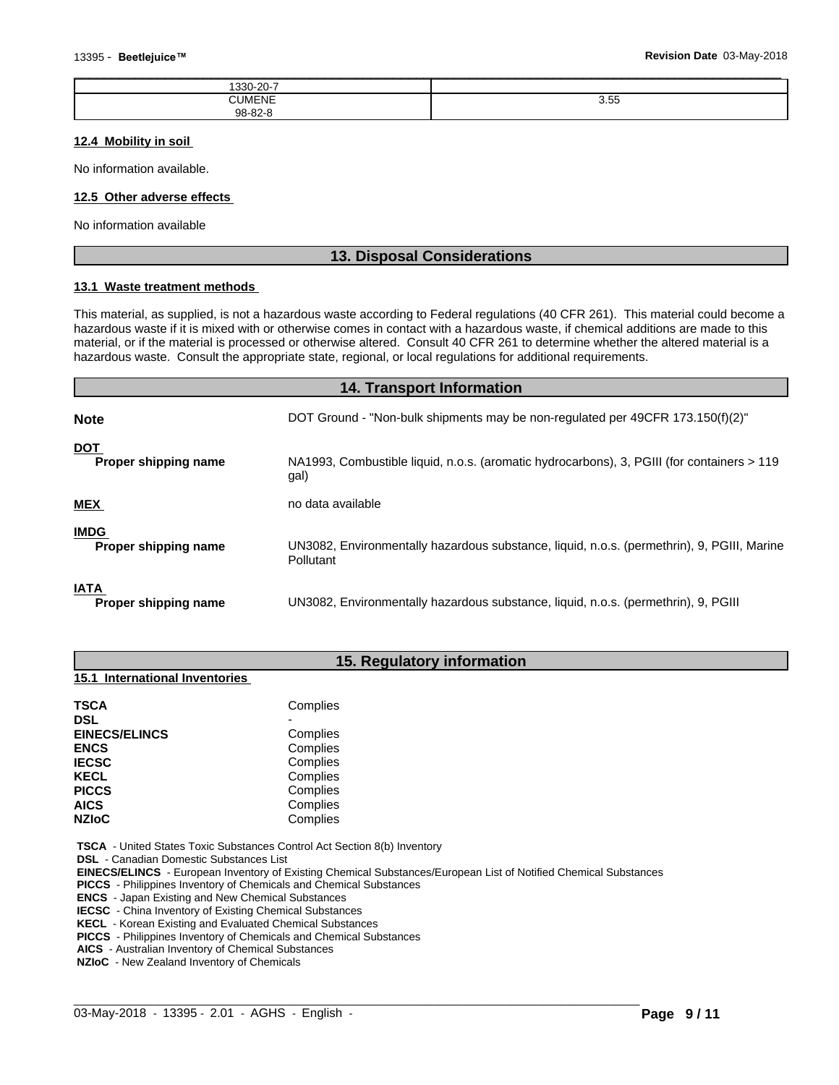| 1330-20-7     |             |
|---------------|-------------|
| <b>CUMENE</b> | 3.55<br>. . |
| 98-82-8       |             |

#### **12.4 Mobility in soil**

No information available.

#### **12.5 Other adverse effects**

No information available

#### **13. Disposal Considerations**

#### **13.1 Waste treatment methods**

This material, as supplied, is not a hazardous waste according to Federal regulations (40 CFR 261). This material could become a hazardous waste if it is mixed with or otherwise comes in contact with a hazardous waste, if chemical additions are made to this material, or if the material is processed or otherwise altered. Consult 40 CFR 261 to determine whether the altered material is a hazardous waste. Consult the appropriate state, regional, or local regulations for additional requirements.

# **14. Transport Information**

| <b>Note</b>                         | DOT Ground - "Non-bulk shipments may be non-regulated per 49CFR 173.150(f)(2)"                          |
|-------------------------------------|---------------------------------------------------------------------------------------------------------|
| <b>DOT</b><br>Proper shipping name  | NA1993, Combustible liquid, n.o.s. (aromatic hydrocarbons), 3, PGIII (for containers > 119<br>gal)      |
| <b>MEX</b>                          | no data available                                                                                       |
| <b>IMDG</b><br>Proper shipping name | UN3082, Environmentally hazardous substance, liquid, n.o.s. (permethrin), 9, PGIII, Marine<br>Pollutant |
| <b>IATA</b><br>Proper shipping name | UN3082, Environmentally hazardous substance, liquid, n.o.s. (permethrin), 9, PGIII                      |

#### **15. Regulatory information**

#### **15.1 International Inventories**

| <b>TSCA</b>          | Complies |  |
|----------------------|----------|--|
| <b>DSL</b>           |          |  |
| <b>EINECS/ELINCS</b> | Complies |  |
| <b>ENCS</b>          | Complies |  |
| <b>IECSC</b>         | Complies |  |
| <b>KECL</b>          | Complies |  |
| <b>PICCS</b>         | Complies |  |
| <b>AICS</b>          | Complies |  |
| <b>NZIoC</b>         | Complies |  |

 **TSCA** - United States Toxic Substances Control Act Section 8(b) Inventory

 **DSL** - Canadian Domestic Substances List

 **EINECS/ELINCS** - European Inventory of Existing Chemical Substances/European List of Notified Chemical Substances

 $\_$  ,  $\_$  ,  $\_$  ,  $\_$  ,  $\_$  ,  $\_$  ,  $\_$  ,  $\_$  ,  $\_$  ,  $\_$  ,  $\_$  ,  $\_$  ,  $\_$  ,  $\_$  ,  $\_$  ,  $\_$  ,  $\_$  ,  $\_$  ,  $\_$  ,  $\_$  ,  $\_$  ,  $\_$  ,  $\_$  ,  $\_$  ,  $\_$  ,  $\_$  ,  $\_$  ,  $\_$  ,  $\_$  ,  $\_$  ,  $\_$  ,  $\_$  ,  $\_$  ,  $\_$  ,  $\_$  ,  $\_$  ,  $\_$  ,

 **PICCS** - Philippines Inventory of Chemicals and Chemical Substances

 **ENCS** - Japan Existing and New Chemical Substances

 **IECSC** - China Inventory of Existing Chemical Substances

 **KECL** - Korean Existing and Evaluated Chemical Substances

 **PICCS** - Philippines Inventory of Chemicals and Chemical Substances

 **AICS** - Australian Inventory of Chemical Substances

 **NZIoC** - New Zealand Inventory of Chemicals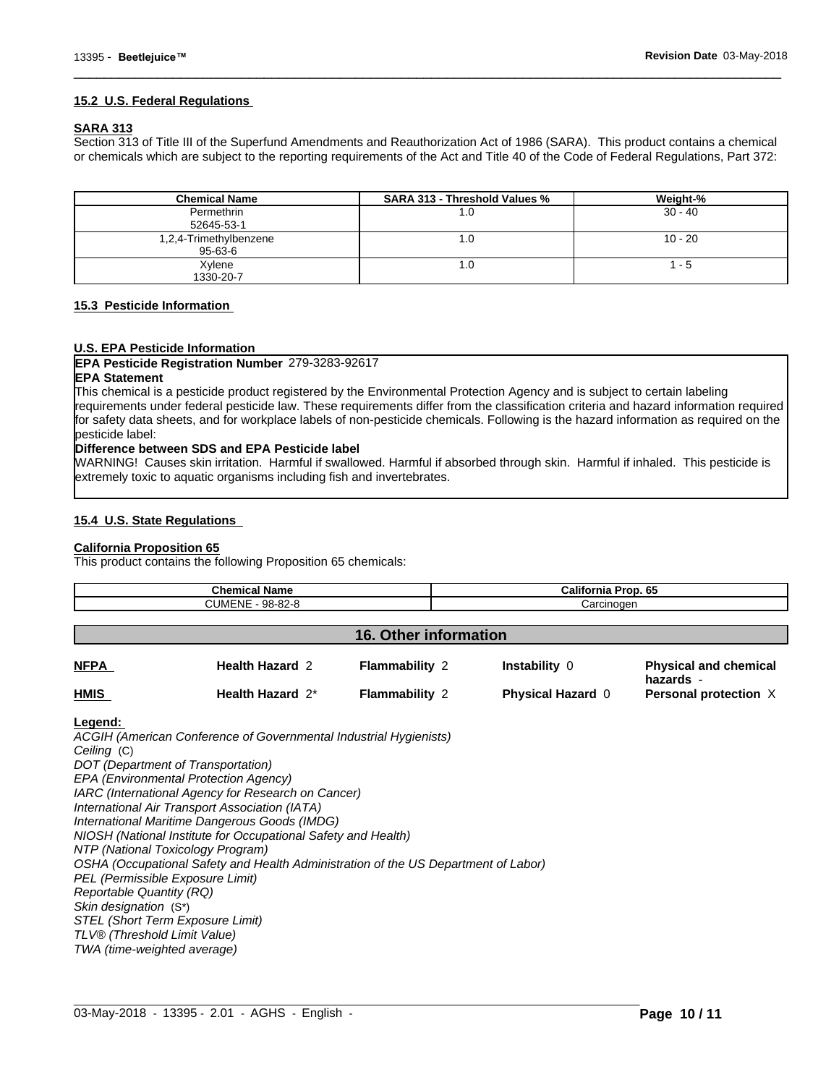#### **15.2 U.S. Federal Regulations**

#### **SARA 313**

Section 313 of Title III of the Superfund Amendments and Reauthorization Act of 1986 (SARA). This product contains a chemical or chemicals which are subject to the reporting requirements of the Act and Title 40 of the Code of Federal Regulations, Part 372:

 $\overline{\phantom{a}}$  ,  $\overline{\phantom{a}}$  ,  $\overline{\phantom{a}}$  ,  $\overline{\phantom{a}}$  ,  $\overline{\phantom{a}}$  ,  $\overline{\phantom{a}}$  ,  $\overline{\phantom{a}}$  ,  $\overline{\phantom{a}}$  ,  $\overline{\phantom{a}}$  ,  $\overline{\phantom{a}}$  ,  $\overline{\phantom{a}}$  ,  $\overline{\phantom{a}}$  ,  $\overline{\phantom{a}}$  ,  $\overline{\phantom{a}}$  ,  $\overline{\phantom{a}}$  ,  $\overline{\phantom{a}}$ 

| <b>Chemical Name</b>              | <b>SARA 313 - Threshold Values %</b> | Weight-%  |
|-----------------------------------|--------------------------------------|-----------|
| Permethrin<br>52645-53-1          | 1.U                                  | $30 - 40$ |
| 1,2,4-Trimethylbenzene<br>95-63-6 | I.U                                  | $10 - 20$ |
| Xylene<br>1330-20-7               | I.U                                  | - 5       |

#### **15.3 Pesticide Information**

#### **U.S. EPA Pesticide Information**

#### **EPA Pesticide Registration Number** 279-3283-92617

### **EPA Statement**

This chemical is a pesticide product registered by the Environmental Protection Agency and is subject to certain labeling requirements under federal pesticide law. These requirements differ from the classification criteria and hazard information required for safety data sheets, and for workplace labels of non-pesticide chemicals. Following is the hazard information as required on the pesticide label:

#### **Difference between SDS and EPA Pesticide label**

WARNING! Causes skin irritation. Harmful if swallowed. Harmful if absorbed through skin. Harmful if inhaled. This pesticide is extremely toxic to aquatic organisms including fish and invertebrates.

#### **15.4 U.S. State Regulations**

#### **California Proposition 65**

This product contains the following Proposition 65 chemicals:

| <b>Chemical Name</b><br>CUMENE - 98-82-8 |                        |                              | California Prop. 65<br>Carcinogen |                                           |
|------------------------------------------|------------------------|------------------------------|-----------------------------------|-------------------------------------------|
|                                          |                        | <b>16. Other information</b> |                                   |                                           |
| <b>NFPA</b>                              | <b>Health Hazard 2</b> | <b>Flammability 2</b>        | Instability 0                     | <b>Physical and chemical</b><br>hazards - |
| <b>HMIS</b>                              | Health Hazard 2*       | <b>Flammability 2</b>        | <b>Physical Hazard 0</b>          | Personal protection X                     |

 $\_$  ,  $\_$  ,  $\_$  ,  $\_$  ,  $\_$  ,  $\_$  ,  $\_$  ,  $\_$  ,  $\_$  ,  $\_$  ,  $\_$  ,  $\_$  ,  $\_$  ,  $\_$  ,  $\_$  ,  $\_$  ,  $\_$  ,  $\_$  ,  $\_$  ,  $\_$  ,  $\_$  ,  $\_$  ,  $\_$  ,  $\_$  ,  $\_$  ,  $\_$  ,  $\_$  ,  $\_$  ,  $\_$  ,  $\_$  ,  $\_$  ,  $\_$  ,  $\_$  ,  $\_$  ,  $\_$  ,  $\_$  ,  $\_$  ,

#### **Legend:**

*ACGIH (American Conference of Governmental Industrial Hygienists) Ceiling* (C) *DOT (Department of Transportation) EPA (Environmental Protection Agency) IARC (International Agency for Research on Cancer) International Air Transport Association (IATA) International Maritime Dangerous Goods (IMDG) NIOSH (National Institute for Occupational Safety and Health) NTP (National Toxicology Program) OSHA (Occupational Safety and Health Administration of the US Department of Labor) PEL (Permissible Exposure Limit) Reportable Quantity (RQ) Skin designation* (S\*) *STEL (Short Term Exposure Limit) TLV® (Threshold Limit Value) TWA (time-weighted average)*